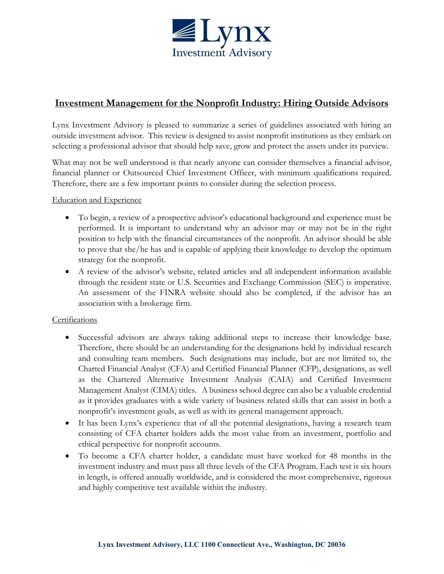

# **Investment Management for the Nonprofit Industry: Hiring Outside Advisors**

Lynx Investment Advisory is pleased to summarize a series of guidelines associated with hiring an outside investment advisor. This review is designed to assist nonprofit institutions as they embark on selecting a professional advisor that should help save, grow and protect the assets under its purview.

What may not be well understood is that nearly anyone can consider themselves a financial advisor, financial planner or Outsourced Chief Investment Officer, with minimum qualifications required. Therefore, there are a few important points to consider during the selection process.

## Education and Experience

- To begin, a review of a prospective advisor's educational background and experience must be performed. It is important to understand why an advisor may or may not be in the right position to help with the financial circumstances of the nonprofit. An advisor should be able to prove that she/he has and is capable of applying their knowledge to develop the optimum strategy for the nonprofit.
- A review of the advisor's website, related articles and all independent information available through the resident state or U.S. Securities and Exchange Commission (SEC) is imperative. An assessment of the FINRA website should also be completed, if the advisor has an association with a brokerage firm.

## Certifications

- Successful advisors are always taking additional steps to increase their knowledge base. Therefore, there should be an understanding for the designations held by individual research and consulting team members. Such designations may include, but are not limited to, the Charted Financial Analyst (CFA) and Certified Financial Planner (CFP), designations, as well as the Chartered Alternative Investment Analysis (CAIA) and Certified Investment Management Analyst (CIMA) titles. A business school degree can also be a valuable credential as it provides graduates with a wide variety of business related skills that can assist in both a nonprofit's investment goals, as well as with its general management approach.
- It has been Lynx's experience that of all the potential designations, having a research team consisting of CFA charter holders adds the most value from an investment, portfolio and ethical perspective for nonprofit accounts.
- To become a CFA charter holder, a candidate must have worked for 48 months in the investment industry and must pass all three levels of the CFA Program. Each test is six hours in length, is offered annually worldwide, and is considered the most comprehensive, rigorous and highly competitive test available within the industry.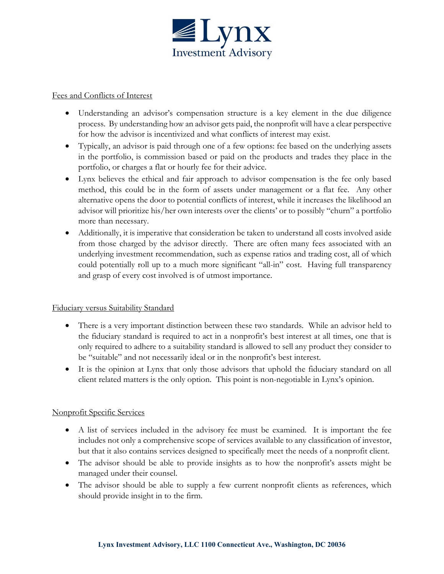

#### Fees and Conflicts of Interest

- Understanding an advisor's compensation structure is a key element in the due diligence process. By understanding how an advisor gets paid, the nonprofit will have a clear perspective for how the advisor is incentivized and what conflicts of interest may exist.
- Typically, an advisor is paid through one of a few options: fee based on the underlying assets in the portfolio, is commission based or paid on the products and trades they place in the portfolio, or charges a flat or hourly fee for their advice.
- Lynx believes the ethical and fair approach to advisor compensation is the fee only based method, this could be in the form of assets under management or a flat fee. Any other alternative opens the door to potential conflicts of interest, while it increases the likelihood an advisor will prioritize his/her own interests over the clients' or to possibly "churn" a portfolio more than necessary.
- Additionally, it is imperative that consideration be taken to understand all costs involved aside from those charged by the advisor directly. There are often many fees associated with an underlying investment recommendation, such as expense ratios and trading cost, all of which could potentially roll up to a much more significant "all-in" cost. Having full transparency and grasp of every cost involved is of utmost importance.

## Fiduciary versus Suitability Standard

- There is a very important distinction between these two standards. While an advisor held to the fiduciary standard is required to act in a nonprofit's best interest at all times, one that is only required to adhere to a suitability standard is allowed to sell any product they consider to be "suitable" and not necessarily ideal or in the nonprofit's best interest.
- It is the opinion at Lynx that only those advisors that uphold the fiduciary standard on all client related matters is the only option. This point is non-negotiable in Lynx's opinion.

## Nonprofit Specific Services

- A list of services included in the advisory fee must be examined. It is important the fee includes not only a comprehensive scope of services available to any classification of investor, but that it also contains services designed to specifically meet the needs of a nonprofit client.
- The advisor should be able to provide insights as to how the nonprofit's assets might be managed under their counsel.
- The advisor should be able to supply a few current nonprofit clients as references, which should provide insight in to the firm.